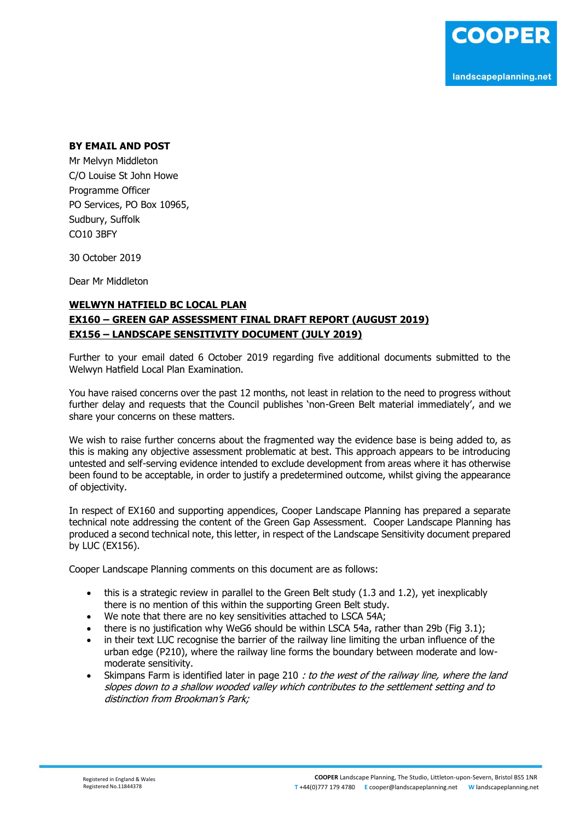## **BY EMAIL AND POST**

Mr Melvyn Middleton C/O Louise St John Howe Programme Officer PO Services, PO Box 10965, Sudbury, Suffolk CO10 3BFY

30 October 2019

Dear Mr Middleton

## **WELWYN HATFIELD BC LOCAL PLAN EX160 – GREEN GAP ASSESSMENT FINAL DRAFT REPORT (AUGUST 2019) EX156 – LANDSCAPE SENSITIVITY DOCUMENT (JULY 2019)**

Further to your email dated 6 October 2019 regarding five additional documents submitted to the Welwyn Hatfield Local Plan Examination.

You have raised concerns over the past 12 months, not least in relation to the need to progress without further delay and requests that the Council publishes 'non-Green Belt material immediately', and we share your concerns on these matters.

We wish to raise further concerns about the fragmented way the evidence base is being added to, as this is making any objective assessment problematic at best. This approach appears to be introducing untested and self-serving evidence intended to exclude development from areas where it has otherwise been found to be acceptable, in order to justify a predetermined outcome, whilst giving the appearance of objectivity.

In respect of EX160 and supporting appendices, Cooper Landscape Planning has prepared a separate technical note addressing the content of the Green Gap Assessment. Cooper Landscape Planning has produced a second technical note, this letter, in respect of the Landscape Sensitivity document prepared by LUC (EX156).

Cooper Landscape Planning comments on this document are as follows:

- $\bullet$  this is a strategic review in parallel to the Green Belt study (1.3 and 1.2), yet inexplicably there is no mention of this within the supporting Green Belt study.
- We note that there are no key sensitivities attached to LSCA 54A;
- there is no justification why WeG6 should be within LSCA 54a, rather than 29b (Fig 3.1);
- in their text LUC recognise the barrier of the railway line limiting the urban influence of the urban edge (P210), where the railway line forms the boundary between moderate and lowmoderate sensitivity.
- Skimpans Farm is identified later in page 210 : to the west of the railway line, where the land slopes down to a shallow wooded valley which contributes to the settlement setting and to distinction from Brookman's Park;